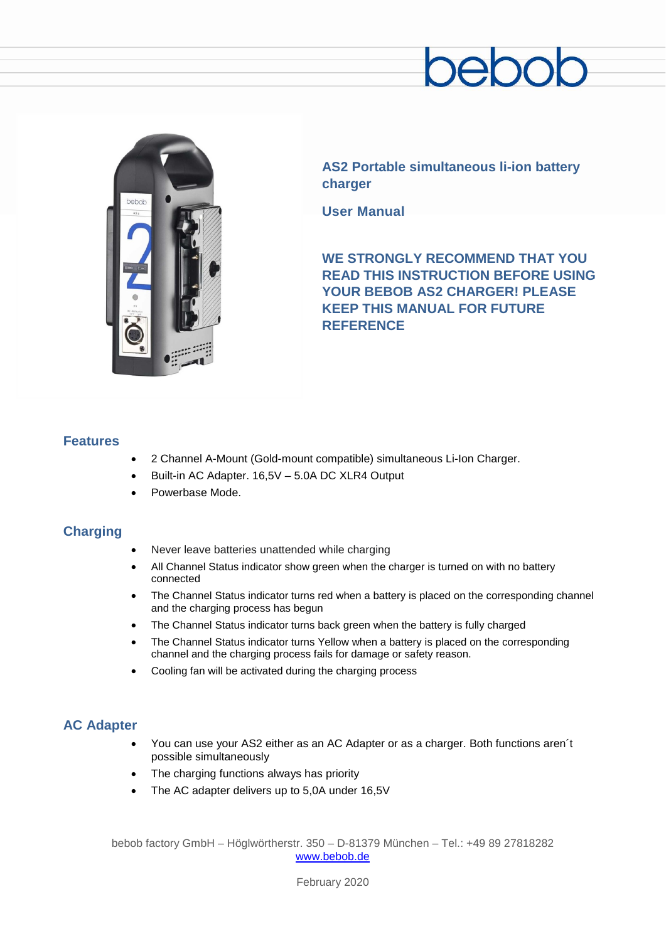# $200$



**AS2 Portable simultaneous li-ion battery charger**

**User Manual**

**WE STRONGLY RECOMMEND THAT YOU READ THIS INSTRUCTION BEFORE USING YOUR BEBOB AS2 CHARGER! PLEASE KEEP THIS MANUAL FOR FUTURE REFERENCE**

#### **Features**

- 2 Channel A-Mount (Gold-mount compatible) simultaneous Li-Ion Charger.
- Built-in AC Adapter. 16,5V 5.0A DC XLR4 Output
- Powerbase Mode.

#### **Charging**

- Never leave batteries unattended while charging
- All Channel Status indicator show green when the charger is turned on with no battery connected
- The Channel Status indicator turns red when a battery is placed on the corresponding channel and the charging process has begun
- The Channel Status indicator turns back green when the battery is fully charged
- The Channel Status indicator turns Yellow when a battery is placed on the corresponding channel and the charging process fails for damage or safety reason.
- Cooling fan will be activated during the charging process

### **AC Adapter**

- You can use your AS2 either as an AC Adapter or as a charger. Both functions aren´t possible simultaneously
- The charging functions always has priority
- The AC adapter delivers up to 5,0A under 16,5V

bebob factory GmbH – Höglwörtherstr. 350 – D-81379 München – Tel.: +49 89 27818282 [www.bebob.de](http://www.bebob.de/)

February 2020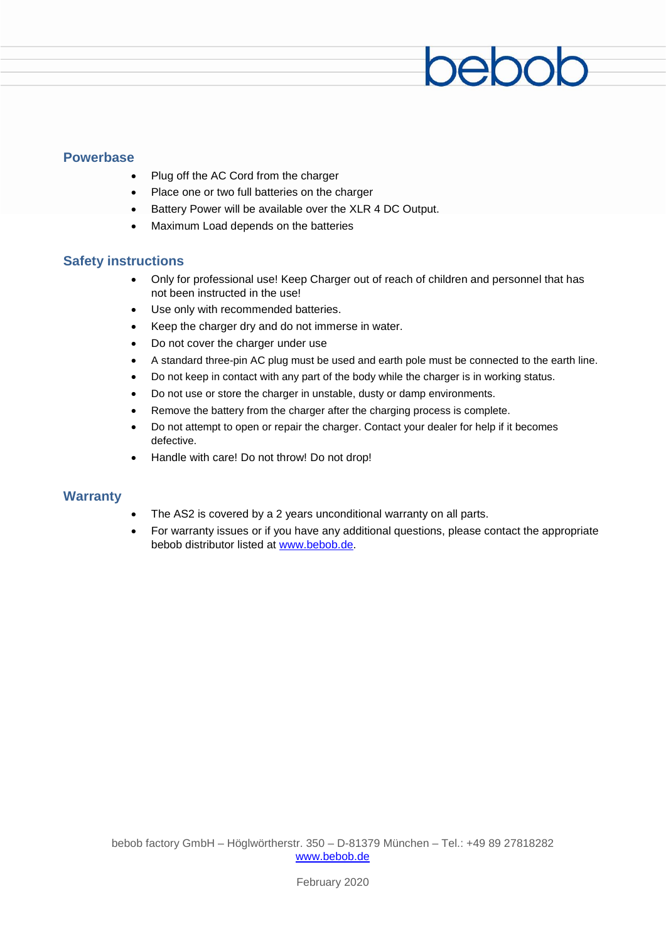#### **Powerbase**

- Plug off the AC Cord from the charger
- Place one or two full batteries on the charger
- Battery Power will be available over the XLR 4 DC Output.
- Maximum Load depends on the batteries

#### **Safety instructions**

• Only for professional use! Keep Charger out of reach of children and personnel that has not been instructed in the use!

beboc

- Use only with recommended batteries.
- Keep the charger dry and do not immerse in water.
- Do not cover the charger under use
- A standard three-pin AC plug must be used and earth pole must be connected to the earth line.
- Do not keep in contact with any part of the body while the charger is in working status.
- Do not use or store the charger in unstable, dusty or damp environments.
- Remove the battery from the charger after the charging process is complete.
- Do not attempt to open or repair the charger. Contact your dealer for help if it becomes defective.
- Handle with care! Do not throw! Do not drop!

#### **Warranty**

- The AS2 is covered by a 2 years unconditional warranty on all parts.
- For warranty issues or if you have any additional questions, please contact the appropriate bebob distributor listed at [www.bebob.de.](http://www.bebob.de/)